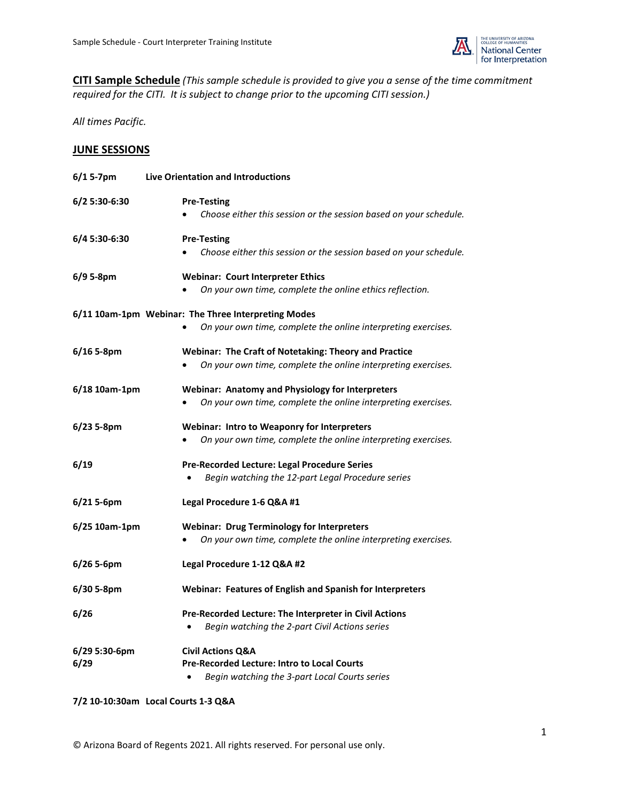

**CITI Sample Schedule** *(This sample schedule is provided to give you a sense of the time commitment required for the CITI. It is subject to change prior to the upcoming CITI session.)*

*All times Pacific.*

## **JUNE SESSIONS**

| $6/15-7$ pm           | <b>Live Orientation and Introductions</b>                                                                                                 |  |  |
|-----------------------|-------------------------------------------------------------------------------------------------------------------------------------------|--|--|
| 6/2 5:30-6:30         | <b>Pre-Testing</b><br>Choose either this session or the session based on your schedule.                                                   |  |  |
| 6/4 5:30-6:30         | <b>Pre-Testing</b><br>Choose either this session or the session based on your schedule.                                                   |  |  |
| 6/9 5-8pm             | <b>Webinar: Court Interpreter Ethics</b><br>On your own time, complete the online ethics reflection.                                      |  |  |
|                       | 6/11 10am-1pm Webinar: The Three Interpreting Modes                                                                                       |  |  |
|                       | On your own time, complete the online interpreting exercises.                                                                             |  |  |
| $6/16$ 5-8pm          | Webinar: The Craft of Notetaking: Theory and Practice<br>On your own time, complete the online interpreting exercises.                    |  |  |
| 6/18 10am-1pm         | <b>Webinar: Anatomy and Physiology for Interpreters</b><br>On your own time, complete the online interpreting exercises.                  |  |  |
| 6/23 5-8pm            | <b>Webinar: Intro to Weaponry for Interpreters</b><br>On your own time, complete the online interpreting exercises.                       |  |  |
| 6/19                  | Pre-Recorded Lecture: Legal Procedure Series<br>Begin watching the 12-part Legal Procedure series                                         |  |  |
| 6/215-6pm             | Legal Procedure 1-6 Q&A #1                                                                                                                |  |  |
| 6/25 10am-1pm         | <b>Webinar: Drug Terminology for Interpreters</b><br>On your own time, complete the online interpreting exercises.                        |  |  |
| $6/26$ 5-6pm          | Legal Procedure 1-12 Q&A #2                                                                                                               |  |  |
| 6/30 5-8pm            | Webinar: Features of English and Spanish for Interpreters                                                                                 |  |  |
| 6/26                  | Pre-Recorded Lecture: The Interpreter in Civil Actions<br>Begin watching the 2-part Civil Actions series<br>$\bullet$                     |  |  |
| 6/29 5:30-6pm<br>6/29 | <b>Civil Actions Q&amp;A</b><br>Pre-Recorded Lecture: Intro to Local Courts<br>Begin watching the 3-part Local Courts series<br>$\bullet$ |  |  |

## **7/2 10-10:30am Local Courts 1-3 Q&A**

© Arizona Board of Regents 2021. All rights reserved. For personal use only.